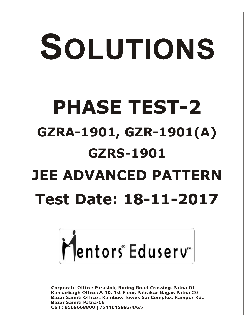# SOLUTIONS **PHASE TEST-2 GZRA-1901, GZR-1901(A) GZRS-1901 JEE ADVANCED PATTERN Test Date: 18-11-2017**



**Corporate Office: Paruslok, Boring Road Crossing, Patna-01** Kankarbagh Office: A-10, 1st Floor, Patrakar Nagar, Patna-20 Bazar Samiti Office: Rainbow Tower, Sai Complex, Rampur Rd., **Bazar Samiti Patna-06** Call: 9569668800 | 7544015993/4/6/7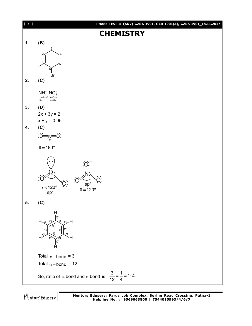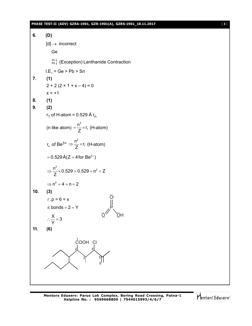#### **PHASE TEST-II (ADV) GZRA-1901, GZR-1901(A), GZRS-1901\_18.11.2017** [ **3** ]

**6. (D)**  $[d] \rightarrow$  incorrect Ge  $\binom{Sn}{Pb}$  (Exception) Lanthanide Contraction I.E<sub>1</sub> = Ge > Pb > Sn **7. (1)**  $2 + 2 (2 \times 1 + x - 4) = 0$  $x = +1$ **8. (1) 9. (2)** r<sub>1</sub> of H-atom = 0.529 Å r<sub>n</sub> (n like atom) 2 1  $\frac{n^2}{2} \times r$  $=\frac{11}{Z} \times r_1$  (H-atom) r<sub>n</sub> of Be<sup>3+</sup>  $\Rightarrow \frac{n^2}{7}$ 1  $\frac{n^2}{2} \times r$  $\Rightarrow \frac{1}{Z} \times r_1$  (H-atom)  $= 0.529 \,\text{\AA}(Z = 4 \,\text{for } \text{Be}^{3+})$  $\frac{n^2}{2}$  × 0.529 = 0.529 = n<sup>2</sup> = Z Z  $\Rightarrow \frac{11}{7} \times 0.529 = 0.529 = n^2 = 2$  $\Rightarrow$  n<sup>2</sup> = 4 = n = 2 **10. (3)**  $l \cdot p = 6 = x$ P O Ö, ÖH  $\pi$  bonds = 2 = Y  $\frac{\mathsf{X}}{\mathsf{X}}$  = 3 Y  $\therefore \frac{\triangle}{\triangle} = 3$ **11. (6)**  $1$ <sub>COOH</sub>  $\alpha$ 2 3 4 5 6

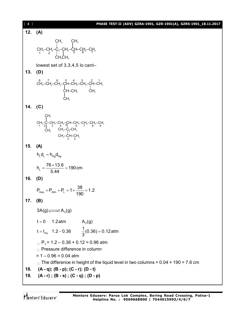| $[4]$   | PHASE TEST-II (ADV) GZRA-1901, GZR-1901(A), GZRS-1901_18.11.2017                                                                                                                                                                                                                                                                                                                                                                   |
|---------|------------------------------------------------------------------------------------------------------------------------------------------------------------------------------------------------------------------------------------------------------------------------------------------------------------------------------------------------------------------------------------------------------------------------------------|
| 12.     | (A)                                                                                                                                                                                                                                                                                                                                                                                                                                |
|         |                                                                                                                                                                                                                                                                                                                                                                                                                                    |
|         | $CH_3-CH_2-C_3-CH_4-CH-CH_2-CH_3$<br>$CH_3-CH_2-C_3-CH_4-CH-CH_2-CH_3$<br>$CH_3$<br>$CH_3$<br>$CH_3$<br>$CH_3$                                                                                                                                                                                                                                                                                                                     |
|         | lowest set of 3,3,4,5 lo cant-                                                                                                                                                                                                                                                                                                                                                                                                     |
| 13.     | (D)                                                                                                                                                                                                                                                                                                                                                                                                                                |
|         | $\begin{array}{ccccc} {}^8\!B_{13}-C\!H_2\!-\!C\!H_2\!-\!C\!H_2\!-\!C\!H_2\!-\!C\!H_2\!-\!C\!H_2\!-\!C\!H_3\\ & \quad\vdots\\ & \quad\vdots\\ & \quad\vdots\\ & \quad\vdots\\ & \quad\vdots\\ & \quad\vdots\\ & \quad\vdots\\ & \quad\vdots\\ & \quad\vdots\\ & \quad\vdots\\ & \quad\vdots\\ & \quad\vdots\\ & \quad\vdots\\ & \quad\vdots\\ & \quad\vdots\\ & \quad\vdots\\ & \quad\vdots\\ & \quad\vdots\\ & \quad\vdots\\ & \$ |
| 14. (C) |                                                                                                                                                                                                                                                                                                                                                                                                                                    |
|         | $\begin{array}{c}CH_3\\CH_3-C-CH_2-CH_2-CH_2-CH_2-CH_2-CH_2-CH_2-CH_2-CH_3\\ 1\,2\,2\,3\,4\,5\,6\,7\,8\,2\,9\,\\ CH_3\qquad CH_3-CH_3\\ CH_3-CH-CH_3\\ CH_3-CH-CH_3\\ 2\,3\end{array}$                                                                                                                                                                                                                                             |
| 15.     | (A)                                                                                                                                                                                                                                                                                                                                                                                                                                |
|         | $h_{L}d_{L} = h_{Hq}d_{Hq}$                                                                                                                                                                                                                                                                                                                                                                                                        |
|         | $h_{L} = \frac{76 \times 13.6}{5.44} = 190 \text{ cm}$                                                                                                                                                                                                                                                                                                                                                                             |
| 16.     | (D)                                                                                                                                                                                                                                                                                                                                                                                                                                |
|         | $P_{\text{Gas}} = P_{\text{Atm}} + P_{\text{L}} = 1 + \frac{38}{190} = 1.2$                                                                                                                                                                                                                                                                                                                                                        |
| 17.     | (B)                                                                                                                                                                                                                                                                                                                                                                                                                                |
|         | $3A(g) \rightleftharpoons A_3(g)$                                                                                                                                                                                                                                                                                                                                                                                                  |
|         | $t = 0$ 1.2 atm<br>$A_3(g)$                                                                                                                                                                                                                                                                                                                                                                                                        |
|         | t = t <sub>eq.</sub> 1.2 – 0.36 $\frac{1}{3}(0.36) = 0.12$ atm                                                                                                                                                                                                                                                                                                                                                                     |
| 18.     | ∴ P <sub>T</sub> = 1.2 – 0.36 + 0.12 = 0.96 atm<br>: Pressure difference in column<br>$= 1 - 0.96 = 0.04$ atm<br>$\therefore$ The difference in height of the liquid level in two columns = 0.04 $\times$ 190 = 7.6 cm<br>$(A - q)$ ; $(B - p)$ ; $(C - r)$ ; $(D - t)$                                                                                                                                                            |
|         | 19. $(A - r)$ ; $(B - s)$ ; $(C - q)$ ; $(D - p)$                                                                                                                                                                                                                                                                                                                                                                                  |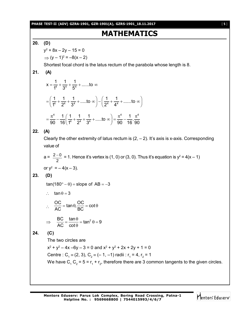**PHASE TEST-II (ADV) GZRA-1901, GZR-1901(A), GZRS-1901\_18.11.2017** [ **5** ]

# **MATHEMATICS**

# **20. (D)**

y 2 + 8x – 2y – 15 = 0  $\Rightarrow$   $(y - 1)^2 = -8(x - 2)$ 

Shortest focal chord is the latus rectum of the parabola whose length is 8.

# **21. (A)**

$$
x = \frac{1}{1^4} + \frac{1}{3^4} + \frac{1}{5^4} + \dots \text{ to } \infty
$$
  
=  $\left(\frac{1}{1^4} + \frac{1}{2^4} + \frac{1}{3^4} + \dots \text{ to } \infty\right) - \left(\frac{1}{2^4} + \frac{1}{4^4} + \dots \text{ to } \infty\right)$   
=  $\frac{\pi^4}{90} - \frac{1}{16} \left(\frac{1}{1^4} + \frac{1}{2^4} + \frac{1}{3^4} + \dots \text{ to } \infty\right) = \frac{\pi^4}{90} - \frac{1}{16} \cdot \frac{\pi^4}{90}$ 

**22. (A)**

Clearly the other extremity of latus rectum is  $(2, -2)$ . It's axis is x-axis. Corresponding value of

$$
a = \frac{2 - 0}{2} = 1.
$$
 Hence it's vertex is (1, 0) or (3, 0). Thus it's equation is  $y^2 = 4(x - 1)$   
or  $y^2 = -4(x - 3)$ .

**23. (D)**

 $tan(180^\circ - \theta) = slope of AB = -3$ 

$$
\therefore \quad \tan \theta = 3
$$

$$
\therefore \frac{OC}{AC} = \tan \theta, \frac{OC}{BC} = \cot \theta
$$
  

$$
\Rightarrow \frac{BC}{AC} = \frac{\tan \theta}{\cos \theta} = \tan^2 \theta = 9
$$

$$
\frac{\partial}{\partial t} = \frac{\partial}{\partial \phi} = \tan^2 \theta
$$

# **24. (C)**

The two circles are

 $x^2 + y^2 - 4x - 6y - 3 = 0$  and  $x^2 + y^2 + 2x + 2y + 1 = 0$ Centre : C<sub>1</sub> = (2, 3), C<sub>2</sub> = (- 1, -1) radii : r<sub>1</sub> = 4, r<sub>2</sub> = 1 We have C<sub>1</sub> C<sub>2</sub> = 5 = r<sub>1</sub> + r<sub>2</sub>, therefore there are 3 common tangents to the given circles.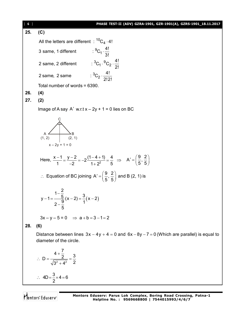[ **6** ] **PHASE TEST-II (ADV) GZRA-1901, GZR-1901(A), GZRS-1901\_18.11.2017 25. (C)** All the letters are different  $\pm\mathrm{^{10}C_{4}}\cdot$ 4!  $^{9}C_{1}\cdot\frac{4!}{3!}$ 2 same, 2 different  ${}^{3}C_{1} \cdot {}^{9}C_{2} \cdot \frac{4!}{2!}$ 2 same, 2 same  $: {}^{3}C_{2} \cdot \frac{4!}{2!3!}$ 3 same, 1 different 2! 2!2! .  $\cdot \,^{\circ}C_2 \cdot \frac{1}{2}$ . Total number of words = 6390. **26. (4) 27. (2)** Image of A say  $A'$  w.r.t  $x - 2y + 1 = 0$  lies on BC A (1, 2) B (2, 1)  $x - 2y + 1 = 0$ C Here,  $\frac{x-1}{1} = \frac{y-2}{2} = -2\frac{(1-4+1)}{1-2} = \frac{1}{2}$  $\frac{x-1}{1} = \frac{y-2}{-2} = -2\frac{(1-4+1)}{1+2^2} = \frac{4}{5}$ 1  $-2$   $1+2^2$  5  $\Rightarrow$  A' =  $\left(\frac{9}{5}, \frac{2}{5}\right)$  $\vec{f} = \left(\frac{9}{5}, \frac{2}{5}\right)$  $\therefore$  Equation of BC joining A' =  $\left(\frac{9}{5}, \frac{2}{5}\right)$  $S = \left(\frac{9}{5}, \frac{2}{5}\right)$  and B (2, 1) is  $(x-2)$ - $-1 = \frac{3}{2}(x-2) = \frac{3}{2}(x-2)$  $\overline{\phantom{0}}$  $y-1=\frac{1-\frac{2}{5}}{2-\frac{9}{5}}(x-2)=\frac{3}{1}(x-2)$ 5  $3x - y - 5 = 0$   $\Rightarrow$   $a + b = 3 - 1 = 2$ **28. (6)** Distance between lines  $3x - 4y + 4 = 0$  and  $6x - 8y - 7 = 0$  (Which are parallel) is equal to diameter of the circle. 2  $\mathbf{A}^2$  $D = \frac{4 + \frac{7}{2}}{\sqrt{2} \cdot 2} = \frac{3}{2}$  $3^2 + 4^2$  2  $\ddot{}$  $\therefore$  D =  $\frac{2}{\sqrt{2}}$  =  $\frac{2}{\sqrt{2}}$  $^{+}$  $4D = \frac{3}{2} \times 4 = 6$  $\therefore$  4D =  $\frac{8}{9} \times 4 = 6$ 

Mentors Eduserv

2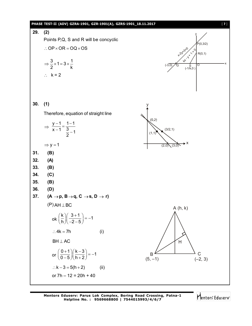

**Mentors Eduserv: Parus Lok Complex, Boring Road Crossing, Patna-1 Helpline No. : 9569668800 | 7544015993/4/6/7**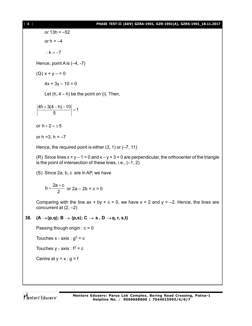or 13h = –52 or  $h = -4$ 

 $\therefore$  k = -7

Hence, point A is (–4, -7)

 $(Q) x + y - 0$ 

 $4x + 3y - 10 = 0$ 

Let  $(h, 4 - h)$  be the point on (i). Then,

 $\left|\frac{4h + 3(4-h) - 10}{5}\right| = 1$ 5  $+\frac{3(4-h)-10}{5}$  =

or  $h + 2 = \pm 5$ 

or  $h = 3$ ,  $h = -7$ 

Hence, the required point is either  $(3, 1)$  or  $(-7, 11)$ 

(R) Since lines  $x + y - 1 = 0$  and  $x - y + 3 = 0$  are perpendicular, the orthocenter of the triangle is the point of intersection of these lines, i.e., (–1, 2)

(S) Since 2a, b, c are in AP, we have

$$
b = \frac{2a + c}{2}
$$
 or  $2a - 2b + c = 0$ 

Comparing with the line  $ax + by + c = 0$ , we have  $x = 2$  and  $y = -2$ . Hence, the lines are concurrent at  $(2, -2)$ 

#### **38.**  $(A \rightarrow (p,q); B \rightarrow (p,s); C \rightarrow s, D \rightarrow q, r, s,t)$

Passing though origin :  $c = 0$ 

Touches x - axis :  $g^2$  = c

Touches  $y - axis : f^2 = c$ 

Centre at  $y = x : g = f$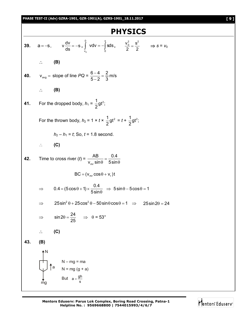

**Mentors Eduserv: Parus Lok Complex, Boring Road Crossing, Patna-1 Helpline No. : 9569668800 | 7544015993/4/6/7**

Mentors Eduserv<sup>®</sup>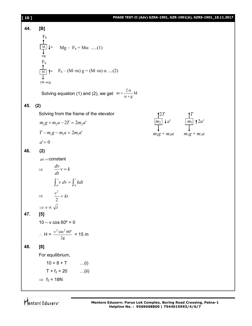| [10] |                                                                                                                                       |                                                                | PHASE TEST-II (Adv) GZRA-1901, GZR-1901(A), GZRS-1901_18.11.2017 |
|------|---------------------------------------------------------------------------------------------------------------------------------------|----------------------------------------------------------------|------------------------------------------------------------------|
| 44.  | [B]                                                                                                                                   |                                                                |                                                                  |
|      | $F_b$                                                                                                                                 |                                                                |                                                                  |
|      | $\overrightarrow{M}$ $\downarrow \alpha$ $Mg - F_b = M\alpha$ (1)<br>mg                                                               |                                                                |                                                                  |
|      | $F_b$<br>$\uparrow$ <sup>0</sup><br>M $\uparrow$ <sup>0</sup><br>$\uparrow$ T <sub>b</sub> – (M–m) g = (M–m) $\alpha$ (2)<br>$(M-m)g$ |                                                                |                                                                  |
|      | Solving equation (1) and (2), we get $m = \frac{2\alpha}{\alpha + g}M$                                                                |                                                                |                                                                  |
| 45.  | (2)                                                                                                                                   |                                                                |                                                                  |
|      | Solving from the frame of the elevator                                                                                                |                                                                |                                                                  |
|      | $m_2g + m_2a - 2T = 2m_2a'$                                                                                                           | $\boxed{\frac{m_2}{m_2}}$ + a' $\boxed{\frac{m_1}{m_1}}$ + 2a' |                                                                  |
|      | $T - m_1 g - m_1 a = 2m_1 a'$                                                                                                         | $m_2g + m_2a$ $m_1g + m_1a$                                    |                                                                  |
|      | $a'=0$                                                                                                                                |                                                                |                                                                  |
| 46.  | (2)                                                                                                                                   |                                                                |                                                                  |
|      | $av = constant$                                                                                                                       |                                                                |                                                                  |
|      | $\Rightarrow \frac{dv}{dt}v = k$                                                                                                      |                                                                |                                                                  |
|      | $\int_0^v v dv = \int_0^t k dt$                                                                                                       |                                                                |                                                                  |
|      | $\frac{v^2}{t} = kt$<br>$\Rightarrow$                                                                                                 |                                                                |                                                                  |
|      | $\Rightarrow v \propto \sqrt{t}$                                                                                                      |                                                                |                                                                  |
| 47.  | [5]                                                                                                                                   |                                                                |                                                                  |
|      | $10 - v \cos 60^\circ = 0$                                                                                                            |                                                                |                                                                  |
|      | ∴ H = $\frac{v^2 \sin^2 60^\circ}{2g}$ = 15 m                                                                                         |                                                                |                                                                  |
| 48.  | [8]                                                                                                                                   |                                                                |                                                                  |
|      | For equilibrium,                                                                                                                      |                                                                |                                                                  |
|      | $10 = 8 + T$<br>$\dots(i)$                                                                                                            |                                                                |                                                                  |
|      | $T + f_2 = 20$ (ii)                                                                                                                   |                                                                |                                                                  |
|      | $\Rightarrow$ f <sub>2</sub> = 18N                                                                                                    |                                                                |                                                                  |

Mentors<sup>®</sup> Eduserv<sup>®</sup>